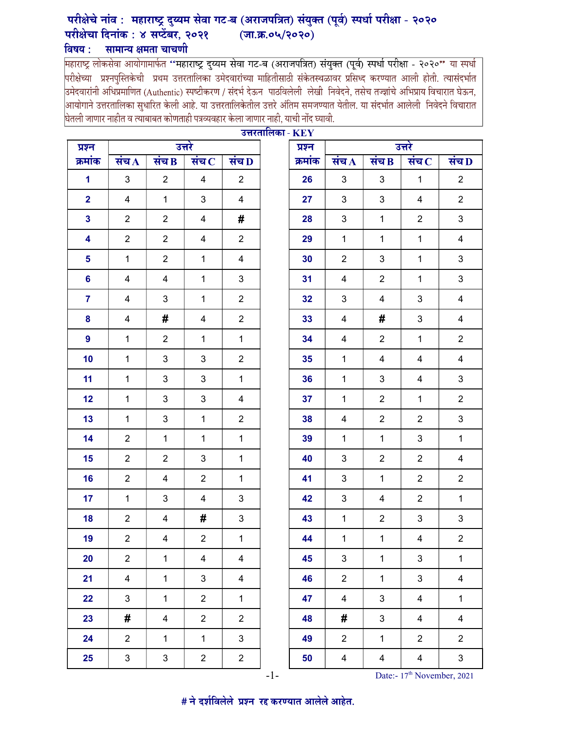## परीक्षेचे नांव : महाराष्ट्र दुय्यम सेवा गट-ब (अराजपत्रित) संयुक्त (पूर्व) स्पर्धा परीक्षा - २०२० परीक्षेचा दिनांक : ४ सप्टेंबर, २०२१  $(\overline{3}, \overline{3}, 0\sqrt{2020})$ विषय :

**विषय : सामान्य क्षमता चाचणी**<br>महाराष्ट्र लोकसेवा आयोगामार्फत "महाराष्ट्र दुय्यम सेवा गट-ब (अराजपत्रित) संयुक्त (पूर्व) स्पर्धा परीक्षा - २०२०" या स्पर्धा<br>|परीक्षेच्या प्रश्नपुस्तिकेची प्रथम उत्तरतालिका उमेदवारांच्य |उमेदवारांनी अधिप्रमाणित (Authentic) स्पष्टीकरण / संदर्भ देऊन पाठविलेली लेखी निवेदने, तसेच तज्ज्ञांचे अभिप्राय विचारात घेऊन, .<br>आयोगाने उत्तरतालिका सुधारित केली आहे. या उत्तरतालिकेतील उत्तरे अंतिम समजण्यात येतील. या संदर्भात आलेली निवेदने विचारात घेतली जाणार नाहीत व त्याबाबत कोणताही पत्रव्यवहार केला जाणार नाही, याची नोंद घ्यावी.

|                         |                         |                           | 200000000000000001<br>उत्तरे |                           |         |  | उत्तरे                  |                           |                           |                         |  |
|-------------------------|-------------------------|---------------------------|------------------------------|---------------------------|---------|--|-------------------------|---------------------------|---------------------------|-------------------------|--|
| क्रमांक                 | संच $\bf{A}$            | संच $B$                   | संच $\overline{\mathbf{c}}$  | संच D                     | क्रमांक |  | संच $\bf{A}$            | संच $\bf{B}$              | संच $\, {\bf c}$          | संच L                   |  |
| $\mathbf 1$             | $\mathbf{3}$            | $\overline{2}$            | $\overline{4}$               | $\overline{2}$            | 26      |  | 3                       | $\mathbf{3}$              | $\mathbf{1}$              | $\overline{2}$          |  |
| $\overline{\mathbf{2}}$ | $\overline{\mathbf{4}}$ | $\mathbf{1}$              | 3                            | $\overline{\mathbf{4}}$   | 27      |  | $\mathfrak{S}$          | $\ensuremath{\mathsf{3}}$ | 4                         | $\overline{2}$          |  |
| $\mathbf{3}$            | $\overline{2}$          | $\overline{c}$            | 4                            | #                         | 28      |  | 3                       | $\mathbf 1$               | $\boldsymbol{2}$          | $\mathsf 3$             |  |
| $\overline{\mathbf{4}}$ | $\overline{2}$          | $\overline{2}$            | $\overline{4}$               | $\overline{2}$            | 29      |  | $\mathbf{1}$            | $\mathbf{1}$              | $\mathbf{1}$              | $\overline{\mathbf{4}}$ |  |
| $\overline{\mathbf{5}}$ | $\mathbf{1}$            | $\overline{2}$            | $\mathbf{1}$                 | $\overline{\mathbf{4}}$   | 30      |  | $\overline{2}$          | $\ensuremath{\mathsf{3}}$ | $\mathbf{1}$              | $\mathbf{3}$            |  |
| $6\phantom{a}$          | $\overline{\mathbf{4}}$ | $\overline{\mathbf{4}}$   | $\mathbf{1}$                 | $\ensuremath{\mathsf{3}}$ | 31      |  | $\overline{4}$          | $\boldsymbol{2}$          | $\mathbf{1}$              | $\mathbf{3}$            |  |
| $\overline{7}$          | 4                       | 3                         | $\mathbf{1}$                 | $\overline{c}$            | 32      |  | 3                       | 4                         | $\sqrt{3}$                | $\overline{\mathbf{4}}$ |  |
| 8                       | 4                       | #                         | 4                            | $\overline{c}$            | 33      |  | 4                       | #                         | 3                         | $\overline{\mathbf{4}}$ |  |
| $\overline{9}$          | $\mathbf{1}$            | $\overline{2}$            | $\mathbf{1}$                 | $\mathbf{1}$              | 34      |  | $\overline{4}$          | $\overline{2}$            | $\mathbf{1}$              | $\overline{2}$          |  |
| 10                      | $\mathbf{1}$            | $\ensuremath{\mathsf{3}}$ | 3                            | $\overline{2}$            | 35      |  | $\mathbf{1}$            | 4                         | $\overline{4}$            | $\overline{\mathbf{4}}$ |  |
| 11                      | $\mathbf{1}$            | $\ensuremath{\mathsf{3}}$ | 3                            | $\mathbf{1}$              | 36      |  | $\mathbf{1}$            | $\mathbf{3}$              | $\overline{4}$            | $\sqrt{3}$              |  |
| 12                      | $\mathbf{1}$            | 3                         | $\mathbf{3}$                 | 4                         | 37      |  | $\mathbf{1}$            | $\overline{2}$            | $\mathbf{1}$              | $\overline{2}$          |  |
| 13                      | $\mathbf{1}$            | 3                         | $\mathbf{1}$                 | $\overline{c}$            | 38      |  | 4                       | $\boldsymbol{2}$          | $\overline{2}$            | $\mathsf 3$             |  |
| 14                      | $\overline{2}$          | $\mathbf{1}$              | $\mathbf{1}$                 | $\mathbf 1$               | 39      |  | $\mathbf{1}$            | $\mathbf{1}$              | $\sqrt{3}$                | $\mathbf{1}$            |  |
| 15                      | $\overline{2}$          | $\mathbf{2}$              | 3                            | $\mathbf{1}$              | 40      |  | 3                       | $\overline{2}$            | $\overline{2}$            | 4                       |  |
| 16                      | $\overline{2}$          | $\overline{\mathbf{4}}$   | $\overline{2}$               | $\mathbf{1}$              | 41      |  | 3                       | $\mathbf{1}$              | $\overline{2}$            | $\overline{2}$          |  |
| 17                      | $\mathbf{1}$            | 3                         | $\overline{4}$               | $\ensuremath{\mathsf{3}}$ | 42      |  | 3                       | 4                         | $\overline{2}$            | $\mathbf{1}$            |  |
| 18                      | $\overline{2}$          | 4                         | #                            | $\mathsf 3$               | 43      |  | $\mathbf{1}$            | $\boldsymbol{2}$          | 3                         | 3                       |  |
| 19                      | $\overline{2}$          | $\overline{\mathbf{4}}$   | $\overline{c}$               | $\mathbf{1}$              | 44      |  | $\mathbf{1}$            | $\mathbf{1}$              | $\overline{\mathbf{4}}$   | $\overline{2}$          |  |
| 20                      | $\overline{c}$          | $\mathbf{1}$              | 4                            | 4                         | 45      |  | $\mathfrak{S}$          | $\mathbf 1$               | $\ensuremath{\mathsf{3}}$ | $\mathbf{1}$            |  |
| 21                      | $\overline{4}$          | $\mathbf{1}$              | 3                            | 4                         | 46      |  | $\overline{2}$          | $\mathbf{1}$              | 3                         | 4                       |  |
| 22                      | $\mathbf{3}$            | $\mathbf{1}$              | $\overline{2}$               | $\mathbf{1}$              | 47      |  | 4                       | $\mathfrak{S}$            | $\overline{\mathbf{4}}$   | $\mathbf{1}$            |  |
| 23                      | #                       | 4                         | $\overline{2}$               | $\overline{2}$            | 48      |  | #                       | 3                         | $\overline{\mathbf{4}}$   | $\overline{\mathbf{4}}$ |  |
| 24                      | $\overline{2}$          | $\mathbf{1}$              | $\mathbf{1}$                 | $\ensuremath{\mathsf{3}}$ | 49      |  | $\overline{2}$          | $\mathbf{1}$              | $\overline{2}$            | $\overline{2}$          |  |
| 25                      | 3                       | 3                         | $\overline{\mathbf{c}}$      | $\overline{c}$            | 50      |  | $\overline{\mathbf{4}}$ | 4                         | $\overline{\mathbf{4}}$   | $\mathbf{3}$            |  |

| उत्तरतालिका - $\mathbf{KEY}$  |  |         |                             |                         |                             |                         |  |  |  |  |
|-------------------------------|--|---------|-----------------------------|-------------------------|-----------------------------|-------------------------|--|--|--|--|
|                               |  | प्रश्न  | उत्तरे                      |                         |                             |                         |  |  |  |  |
| व $\overline{\mathbf{D}}$     |  | क्रमांक | संच $\overline{\mathbf{A}}$ | संच $\bf{B}$            | संच $\overline{\mathbf{C}}$ | संच D                   |  |  |  |  |
| $\overline{2}$                |  | 26      | $\mathsf 3$                 | $\mathbf{3}$            | $\mathbf 1$                 | $\overline{\mathbf{c}}$ |  |  |  |  |
| 4                             |  | 27      | 3                           | 3                       | $\overline{\mathbf{4}}$     | $\overline{\mathbf{c}}$ |  |  |  |  |
| $\frac{1}{4}$                 |  | 28      | 3                           | $\mathbf 1$             | $\boldsymbol{2}$            | 3                       |  |  |  |  |
| $\frac{1}{2}$                 |  | 29      | $\mathbf{1}$                | $\mathbf 1$             | $\overline{1}$              | $\overline{\mathbf{4}}$ |  |  |  |  |
| $\frac{1}{4}$                 |  | 30      | $\overline{c}$              | $\mathbf{3}$            | $\mathbf 1$                 | 3                       |  |  |  |  |
| 3                             |  | 31      | $\overline{\mathbf{4}}$     | $\boldsymbol{2}$        | $\mathbf 1$                 | 3                       |  |  |  |  |
| $\overline{\mathbf{c}}$       |  | 32      | 3                           | 4                       | 3                           | $\overline{\mathbf{4}}$ |  |  |  |  |
| j.<br>$\overline{\mathbf{c}}$ |  | 33      | $\overline{\mathbf{4}}$     | #                       | 3                           | $\overline{\mathbf{4}}$ |  |  |  |  |
| $\frac{1}{1}$                 |  | 34      | $\overline{\mathbf{4}}$     | $\boldsymbol{2}$        | $\overline{1}$              | $\overline{c}$          |  |  |  |  |
| $\overline{\mathbf{c}}$       |  | 35      | $\mathbf{1}$                | 4                       | $\overline{\mathbf{4}}$     | $\overline{\mathbf{4}}$ |  |  |  |  |
| $\frac{1}{1}$                 |  | 36      | $\mathbf 1$                 | $\mathbf{3}$            | $\overline{\mathbf{4}}$     | 3                       |  |  |  |  |
| 4                             |  | 37      | 1                           | $\overline{\mathbf{c}}$ | $\mathbf 1$                 | 2                       |  |  |  |  |
| $\overline{\mathbf{c}}$       |  | 38      | $\overline{\mathbf{4}}$     | $\boldsymbol{2}$        | $\overline{\mathbf{c}}$     | 3                       |  |  |  |  |
| $\frac{1}{1}$                 |  | 39      | $\mathbf 1$                 | $\mathbf 1$             | 3                           | $\mathbf{1}$            |  |  |  |  |
| $\frac{1}{1}$                 |  | 40      | $\ensuremath{\mathsf{3}}$   | $\boldsymbol{2}$        | $\overline{c}$              | $\overline{\mathbf{4}}$ |  |  |  |  |
| $\mathbf 1$                   |  | 41      | 3                           | $\mathbf 1$             | $\boldsymbol{2}$            | 2                       |  |  |  |  |
| 3                             |  | 42      | 3                           | 4                       | $\overline{c}$              | $\mathbf 1$             |  |  |  |  |
| 3                             |  | 43      | $\mathbf 1$                 | $\boldsymbol{2}$        | 3                           | 3                       |  |  |  |  |
| $\mathbf{1}$                  |  | 44      | $\mathbf{1}$                | $\mathbf{1}$            | $\overline{4}$              | $\overline{2}$          |  |  |  |  |
| 4                             |  | 45      | 3                           | 1                       | 3                           | $\mathbf 1$             |  |  |  |  |
| 4                             |  | 46      | $\overline{\mathbf{c}}$     | 1                       | 3                           | 4                       |  |  |  |  |
| 1                             |  | 47      | $\overline{\mathbf{4}}$     | 3                       | $\overline{\mathbf{4}}$     | $\mathbf 1$             |  |  |  |  |
| 2                             |  | 48      | #                           | 3                       | $\overline{\mathbf{4}}$     | 4                       |  |  |  |  |
| 3                             |  | 49      | $\overline{\mathbf{c}}$     | $\mathbf 1$             | $\overline{c}$              | $\overline{\mathbf{c}}$ |  |  |  |  |
| $\overline{\mathbf{c}}$       |  | 50      | $\overline{\mathbf{4}}$     | 4                       | 4                           | 3                       |  |  |  |  |

 $-1$ - Date:-  $17<sup>th</sup>$  November, 2021

# ने दर्शविलेले प्रश्न रद्द करण्यात आलेले आहेत.